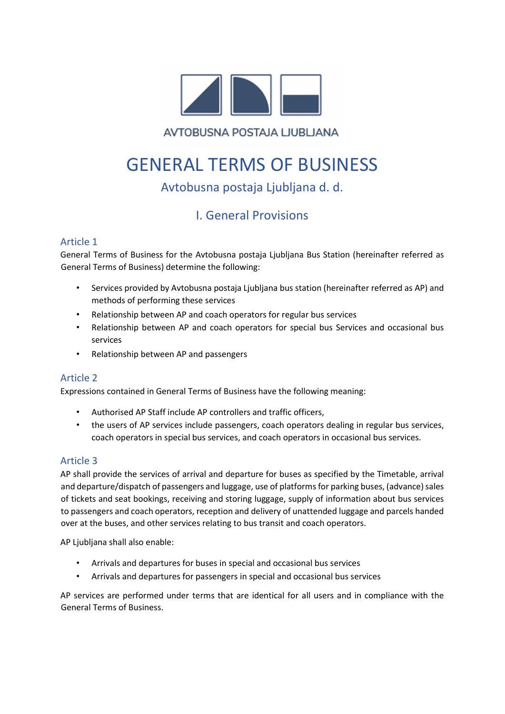

AVTOBUSNA POSTAJA LJUBLJANA

# GENERAL TERMS OF BUSINESS

# Avtobusna postaja Ljubljana d. d.

# I. General Provisions

# Article 1

General Terms of Business for the Avtobusna postaja Ljubljana Bus Station (hereinafter referred as General Terms of Business) determine the following:

- Services provided by Avtobusna postaja Ljubljana bus station (hereinafter referred as AP) and methods of performing these services
- Relationship between AP and coach operators for regular bus services
- Relationship between AP and coach operators for special bus Services and occasional bus services
- Relationship between AP and passengers

## Article 2

Expressions contained in General Terms of Business have the following meaning:

- Authorised AP Staff include AP controllers and traffic officers,
- the users of AP services include passengers, coach operators dealing in regular bus services, coach operators in special bus services, and coach operators in occasional bus services.

## Article 3

AP shall provide the services of arrival and departure for buses as specified by the Timetable, arrival and departure/dispatch of passengers and luggage, use of platforms for parking buses, (advance) sales of tickets and seat bookings, receiving and storing luggage, supply of information about bus services to passengers and coach operators, reception and delivery of unattended luggage and parcels handed over at the buses, and other services relating to bus transit and coach operators.

AP Ljubljana shall also enable:

- Arrivals and departures for buses in special and occasional bus services
- Arrivals and departures for passengers in special and occasional bus services

AP services are performed under terms that are identical for all users and in compliance with the General Terms of Business.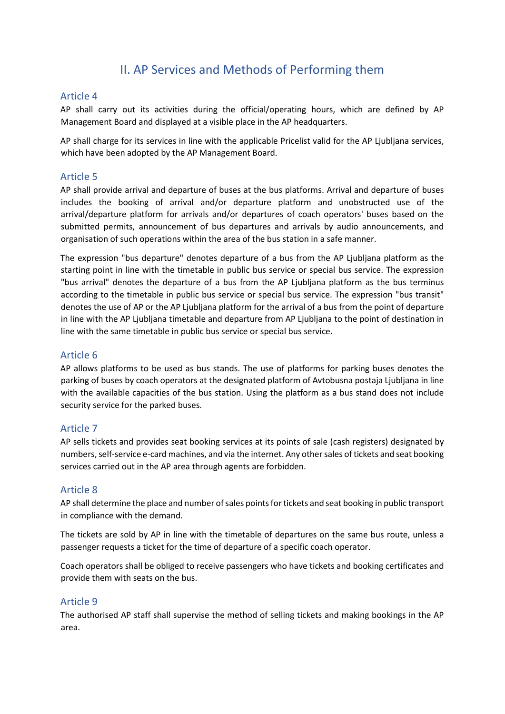# II. AP Services and Methods of Performing them

#### Article 4

AP shall carry out its activities during the official/operating hours, which are defined by AP Management Board and displayed at a visible place in the AP headquarters.

AP shall charge for its services in line with the applicable Pricelist valid for the AP Ljubljana services, which have been adopted by the AP Management Board.

#### Article 5

AP shall provide arrival and departure of buses at the bus platforms. Arrival and departure of buses includes the booking of arrival and/or departure platform and unobstructed use of the arrival/departure platform for arrivals and/or departures of coach operators' buses based on the submitted permits, announcement of bus departures and arrivals by audio announcements, and organisation of such operations within the area of the bus station in a safe manner.

The expression "bus departure" denotes departure of a bus from the AP Ljubljana platform as the starting point in line with the timetable in public bus service or special bus service. The expression "bus arrival" denotes the departure of a bus from the AP Ljubljana platform as the bus terminus according to the timetable in public bus service or special bus service. The expression "bus transit" denotes the use of AP or the AP Ljubljana platform for the arrival of a bus from the point of departure in line with the AP Ljubljana timetable and departure from AP Ljubljana to the point of destination in line with the same timetable in public bus service or special bus service.

#### Article 6

AP allows platforms to be used as bus stands. The use of platforms for parking buses denotes the parking of buses by coach operators at the designated platform of Avtobusna postaja Ljubljana in line with the available capacities of the bus station. Using the platform as a bus stand does not include security service for the parked buses.

#### Article 7

AP sells tickets and provides seat booking services at its points of sale (cash registers) designated by numbers, self-service e-card machines, and via the internet. Any other sales of tickets and seat booking services carried out in the AP area through agents are forbidden.

#### Article 8

AP shall determine the place and number of sales points for tickets and seat booking in public transport in compliance with the demand.

The tickets are sold by AP in line with the timetable of departures on the same bus route, unless a passenger requests a ticket for the time of departure of a specific coach operator.

Coach operators shall be obliged to receive passengers who have tickets and booking certificates and provide them with seats on the bus.

#### Article 9

The authorised AP staff shall supervise the method of selling tickets and making bookings in the AP area.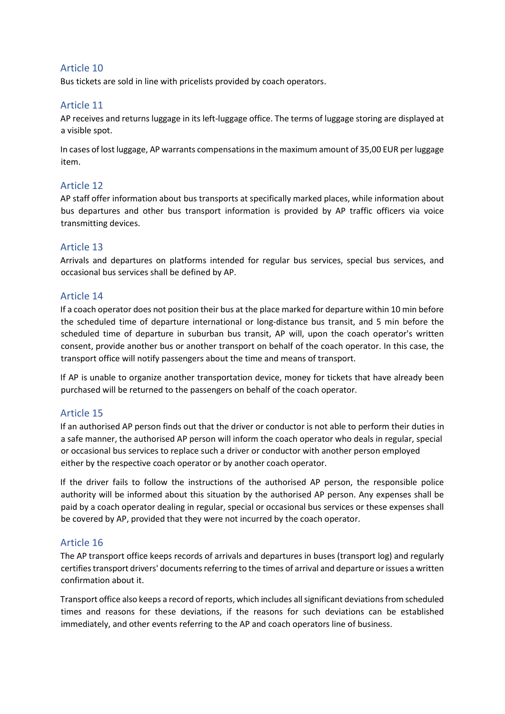#### Article 10

Bus tickets are sold in line with pricelists provided by coach operators.

#### Article 11

AP receives and returns luggage in its left-luggage office. The terms of luggage storing are displayed at a visible spot.

In cases of lost luggage, AP warrants compensations in the maximum amount of 35,00 EUR per luggage item.

#### Article 12

AP staff offer information about bus transports at specifically marked places, while information about bus departures and other bus transport information is provided by AP traffic officers via voice transmitting devices.

#### Article 13

Arrivals and departures on platforms intended for regular bus services, special bus services, and occasional bus services shall be defined by AP.

#### Article 14

If a coach operator does not position their bus at the place marked for departure within 10 min before the scheduled time of departure international or long-distance bus transit, and 5 min before the scheduled time of departure in suburban bus transit, AP will, upon the coach operator's written consent, provide another bus or another transport on behalf of the coach operator. In this case, the transport office will notify passengers about the time and means of transport.

If AP is unable to organize another transportation device, money for tickets that have already been purchased will be returned to the passengers on behalf of the coach operator.

#### Article 15

If an authorised AP person finds out that the driver or conductor is not able to perform their duties in a safe manner, the authorised AP person will inform the coach operator who deals in regular, special or occasional bus services to replace such a driver or conductor with another person employed either by the respective coach operator or by another coach operator.

If the driver fails to follow the instructions of the authorised AP person, the responsible police authority will be informed about this situation by the authorised AP person. Any expenses shall be paid by a coach operator dealing in regular, special or occasional bus services or these expenses shall be covered by AP, provided that they were not incurred by the coach operator.

#### Article 16

The AP transport office keeps records of arrivals and departures in buses (transport log) and regularly certifies transport drivers' documents referring to the times of arrival and departure or issues a written confirmation about it.

Transport office also keeps a record of reports, which includes all significant deviations from scheduled times and reasons for these deviations, if the reasons for such deviations can be established immediately, and other events referring to the AP and coach operators line of business.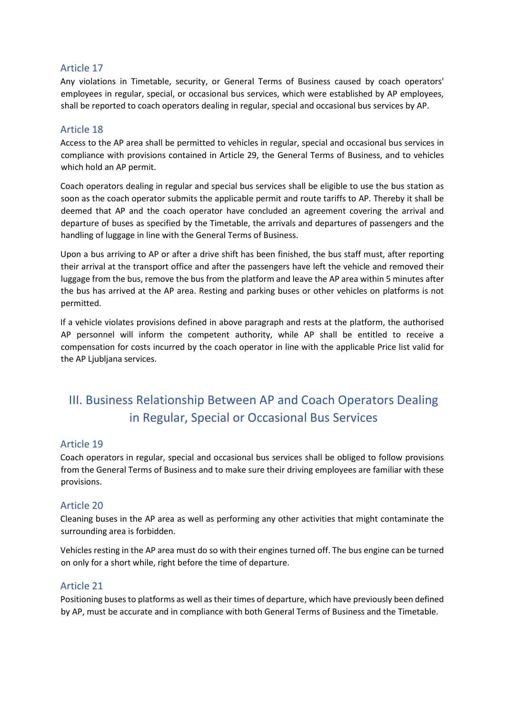#### Article 17

Any violations in Timetable, security, or General Terms of Business caused by coach operators' employees in regular, special, or occasional bus services, which were established by AP employees, shall be reported to coach operators dealing in regular, special and occasional bus services by AP.

#### Article 18

Access to the AP area shall be permitted to vehicles in regular, special and occasional bus services in compliance with provisions contained in Article 29, the General Terms of Business, and to vehicles which hold an AP permit.

Coach operators dealing in regular and special bus services shall be eligible to use the bus station as soon as the coach operator submits the applicable permit and route tariffs to AP. Thereby it shall be deemed that AP and the coach operator have concluded an agreement covering the arrival and departure of buses as specified by the Timetable, the arrivals and departures of passengers and the handling of luggage in line with the General Terms of Business.

Upon a bus arriving to AP or after a drive shift has been finished, the bus staff must, after reporting their arrival at the transport office and after the passengers have left the vehicle and removed their luggage from the bus, remove the bus from the platform and leave the AP area within 5 minutes after the bus has arrived at the AP area. Resting and parking buses or other vehicles on platforms is not permitted.

If a vehicle violates provisions defined in above paragraph and rests at the platform, the authorised AP personnel will inform the competent authority, while AP shall be entitled to receive a compensation for costs incurred by the coach operator in line with the applicable Price list valid for the AP Ljubljana services.

# III. Business Relationship Between AP and Coach Operators Dealing in Regular, Special or Occasional Bus Services

#### Article 19

Coach operators in regular, special and occasional bus services shall be obliged to follow provisions from the General Terms of Business and to make sure their driving employees are familiar with these provisions.

#### Article 20

Cleaning buses in the AP area as well as performing any other activities that might contaminate the surrounding area is forbidden.

Vehicles resting in the AP area must do so with their engines turned off. The bus engine can be turned on only for a short while, right before the time of departure.

#### Article 21

Positioning buses to platforms as well as their times of departure, which have previously been defined by AP, must be accurate and in compliance with both General Terms of Business and the Timetable.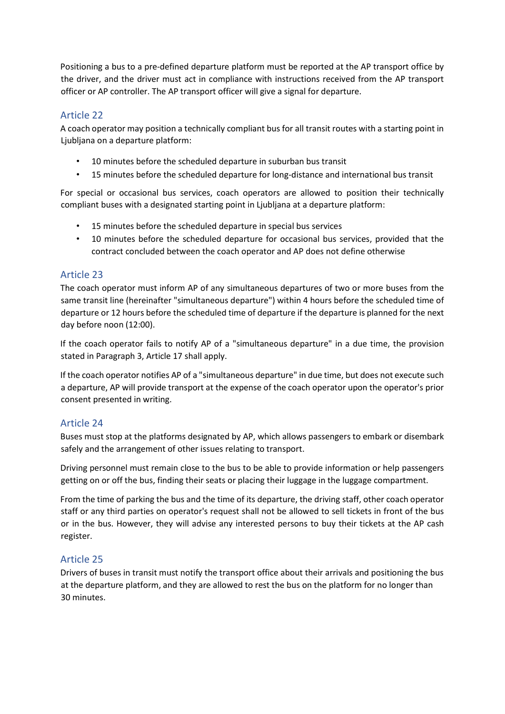Positioning a bus to a pre-defined departure platform must be reported at the AP transport office by the driver, and the driver must act in compliance with instructions received from the AP transport officer or AP controller. The AP transport officer will give a signal for departure.

### Article 22

A coach operator may position a technically compliant bus for all transit routes with a starting point in Ljubljana on a departure platform:

- 10 minutes before the scheduled departure in suburban bus transit
- 15 minutes before the scheduled departure for long-distance and international bus transit

For special or occasional bus services, coach operators are allowed to position their technically compliant buses with a designated starting point in Ljubljana at a departure platform:

- 15 minutes before the scheduled departure in special bus services
- 10 minutes before the scheduled departure for occasional bus services, provided that the contract concluded between the coach operator and AP does not define otherwise

### Article 23

The coach operator must inform AP of any simultaneous departures of two or more buses from the same transit line (hereinafter "simultaneous departure") within 4 hours before the scheduled time of departure or 12 hours before the scheduled time of departure if the departure is planned for the next day before noon (12:00).

If the coach operator fails to notify AP of a "simultaneous departure" in a due time, the provision stated in Paragraph 3, Article 17 shall apply.

If the coach operator notifies AP of a "simultaneous departure" in due time, but does not execute such a departure, AP will provide transport at the expense of the coach operator upon the operator's prior consent presented in writing.

## Article 24

Buses must stop at the platforms designated by AP, which allows passengers to embark or disembark safely and the arrangement of other issues relating to transport.

Driving personnel must remain close to the bus to be able to provide information or help passengers getting on or off the bus, finding their seats or placing their luggage in the luggage compartment.

From the time of parking the bus and the time of its departure, the driving staff, other coach operator staff or any third parties on operator's request shall not be allowed to sell tickets in front of the bus or in the bus. However, they will advise any interested persons to buy their tickets at the AP cash register.

### Article 25

Drivers of buses in transit must notify the transport office about their arrivals and positioning the bus at the departure platform, and they are allowed to rest the bus on the platform for no longer than 30 minutes.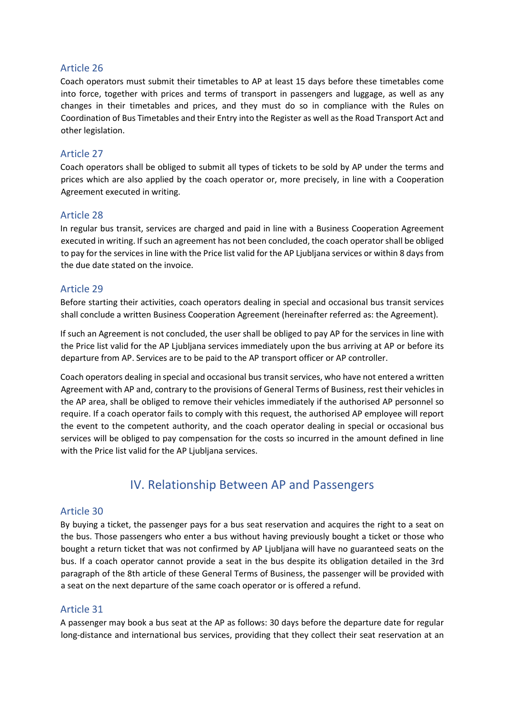#### Article 26

Coach operators must submit their timetables to AP at least 15 days before these timetables come into force, together with prices and terms of transport in passengers and luggage, as well as any changes in their timetables and prices, and they must do so in compliance with the Rules on Coordination of Bus Timetables and their Entry into the Register as well as the Road Transport Act and other legislation.

#### Article 27

Coach operators shall be obliged to submit all types of tickets to be sold by AP under the terms and prices which are also applied by the coach operator or, more precisely, in line with a Cooperation Agreement executed in writing.

#### Article 28

In regular bus transit, services are charged and paid in line with a Business Cooperation Agreement executed in writing. If such an agreement has not been concluded, the coach operator shall be obliged to pay for the services in line with the Price list valid for the AP Ljubljana services or within 8 days from the due date stated on the invoice.

#### Article 29

Before starting their activities, coach operators dealing in special and occasional bus transit services shall conclude a written Business Cooperation Agreement (hereinafter referred as: the Agreement).

If such an Agreement is not concluded, the user shall be obliged to pay AP for the services in line with the Price list valid for the AP Ljubljana services immediately upon the bus arriving at AP or before its departure from AP. Services are to be paid to the AP transport officer or AP controller.

Coach operators dealing in special and occasional bus transit services, who have not entered a written Agreement with AP and, contrary to the provisions of General Terms of Business, rest their vehicles in the AP area, shall be obliged to remove their vehicles immediately if the authorised AP personnel so require. If a coach operator fails to comply with this request, the authorised AP employee will report the event to the competent authority, and the coach operator dealing in special or occasional bus services will be obliged to pay compensation for the costs so incurred in the amount defined in line with the Price list valid for the AP Ljubljana services.

# IV. Relationship Between AP and Passengers

#### Article 30

By buying a ticket, the passenger pays for a bus seat reservation and acquires the right to a seat on the bus. Those passengers who enter a bus without having previously bought a ticket or those who bought a return ticket that was not confirmed by AP Ljubljana will have no guaranteed seats on the bus. If a coach operator cannot provide a seat in the bus despite its obligation detailed in the 3rd paragraph of the 8th article of these General Terms of Business, the passenger will be provided with a seat on the next departure of the same coach operator or is offered a refund.

#### Article 31

A passenger may book a bus seat at the AP as follows: 30 days before the departure date for regular long-distance and international bus services, providing that they collect their seat reservation at an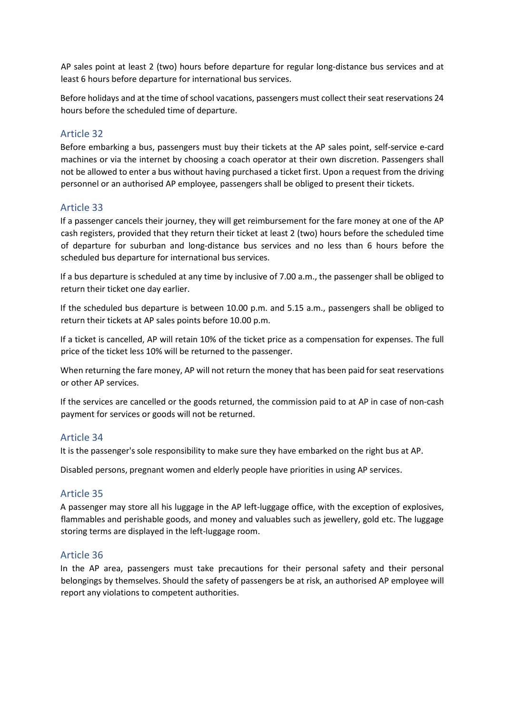AP sales point at least 2 (two) hours before departure for regular long-distance bus services and at least 6 hours before departure for international bus services.

Before holidays and at the time of school vacations, passengers must collect their seat reservations 24 hours before the scheduled time of departure.

### Article 32

Before embarking a bus, passengers must buy their tickets at the AP sales point, self-service e-card machines or via the internet by choosing a coach operator at their own discretion. Passengers shall not be allowed to enter a bus without having purchased a ticket first. Upon a request from the driving personnel or an authorised AP employee, passengers shall be obliged to present their tickets.

#### Article 33

If a passenger cancels their journey, they will get reimbursement for the fare money at one of the AP cash registers, provided that they return their ticket at least 2 (two) hours before the scheduled time of departure for suburban and long-distance bus services and no less than 6 hours before the scheduled bus departure for international bus services.

If a bus departure is scheduled at any time by inclusive of 7.00 a.m., the passenger shall be obliged to return their ticket one day earlier.

If the scheduled bus departure is between 10.00 p.m. and 5.15 a.m., passengers shall be obliged to return their tickets at AP sales points before 10.00 p.m.

If a ticket is cancelled, AP will retain 10% of the ticket price as a compensation for expenses. The full price of the ticket less 10% will be returned to the passenger.

When returning the fare money, AP will not return the money that has been paid for seat reservations or other AP services.

If the services are cancelled or the goods returned, the commission paid to at AP in case of non-cash payment for services or goods will not be returned.

#### Article 34

It is the passenger's sole responsibility to make sure they have embarked on the right bus at AP.

Disabled persons, pregnant women and elderly people have priorities in using AP services.

#### Article 35

A passenger may store all his luggage in the AP left-luggage office, with the exception of explosives, flammables and perishable goods, and money and valuables such as jewellery, gold etc. The luggage storing terms are displayed in the left-luggage room.

#### Article 36

In the AP area, passengers must take precautions for their personal safety and their personal belongings by themselves. Should the safety of passengers be at risk, an authorised AP employee will report any violations to competent authorities.